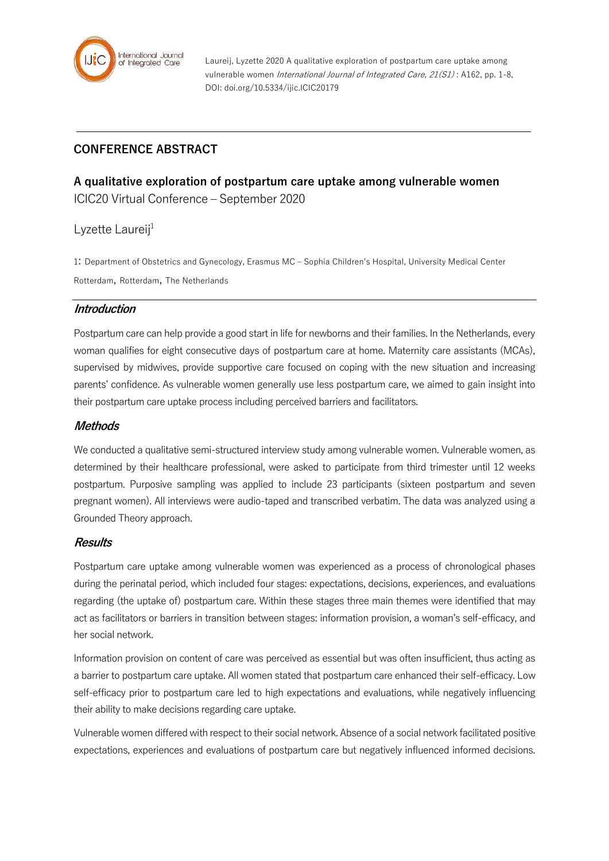

Laureij, Lyzette 2020 A qualitative exploration of postpartum care uptake among vulnerable women *International Journal of Integrated Care, 21(S1)*: A162, pp. 1-8, DOI: doi.org/10.5334/ijic.ICIC20179

# **CONFERENCE ABSTRACT**

# **A qualitative exploration of postpartum care uptake among vulnerable women** ICIC20 Virtual Conference – September 2020

## Lyzette Laureij<sup>1</sup>

1: Department of Obstetrics and Gynecology, Erasmus MC – Sophia Children's Hospital, University Medical Center Rotterdam, Rotterdam, The Netherlands

#### **Introduction**

Postpartum care can help provide a good start in life for newborns and their families. In the Netherlands, every woman qualifies for eight consecutive days of postpartum care at home. Maternity care assistants (MCAs), supervised by midwives, provide supportive care focused on coping with the new situation and increasing parents' confidence. As vulnerable women generally use less postpartum care, we aimed to gain insight into their postpartum care uptake process including perceived barriers and facilitators.

#### **Methods**

We conducted a qualitative semi-structured interview study among vulnerable women. Vulnerable women, as determined by their healthcare professional, were asked to participate from third trimester until 12 weeks postpartum. Purposive sampling was applied to include 23 participants (sixteen postpartum and seven pregnant women). All interviews were audio-taped and transcribed verbatim. The data was analyzed using a Grounded Theory approach.

#### **Results**

Postpartum care uptake among vulnerable women was experienced as a process of chronological phases during the perinatal period, which included four stages: expectations, decisions, experiences, and evaluations regarding (the uptake of) postpartum care. Within these stages three main themes were identified that may act as facilitators or barriers in transition between stages: information provision, a woman's self-efficacy, and her social network.

Information provision on content of care was perceived as essential but was often insufficient, thus acting as a barrier to postpartum care uptake. All women stated that postpartum care enhanced their self-efficacy. Low self-efficacy prior to postpartum care led to high expectations and evaluations, while negatively influencing their ability to make decisions regarding care uptake.

Vulnerable women differed with respect to their social network. Absence of a social network facilitated positive expectations, experiences and evaluations of postpartum care but negatively influenced informed decisions.